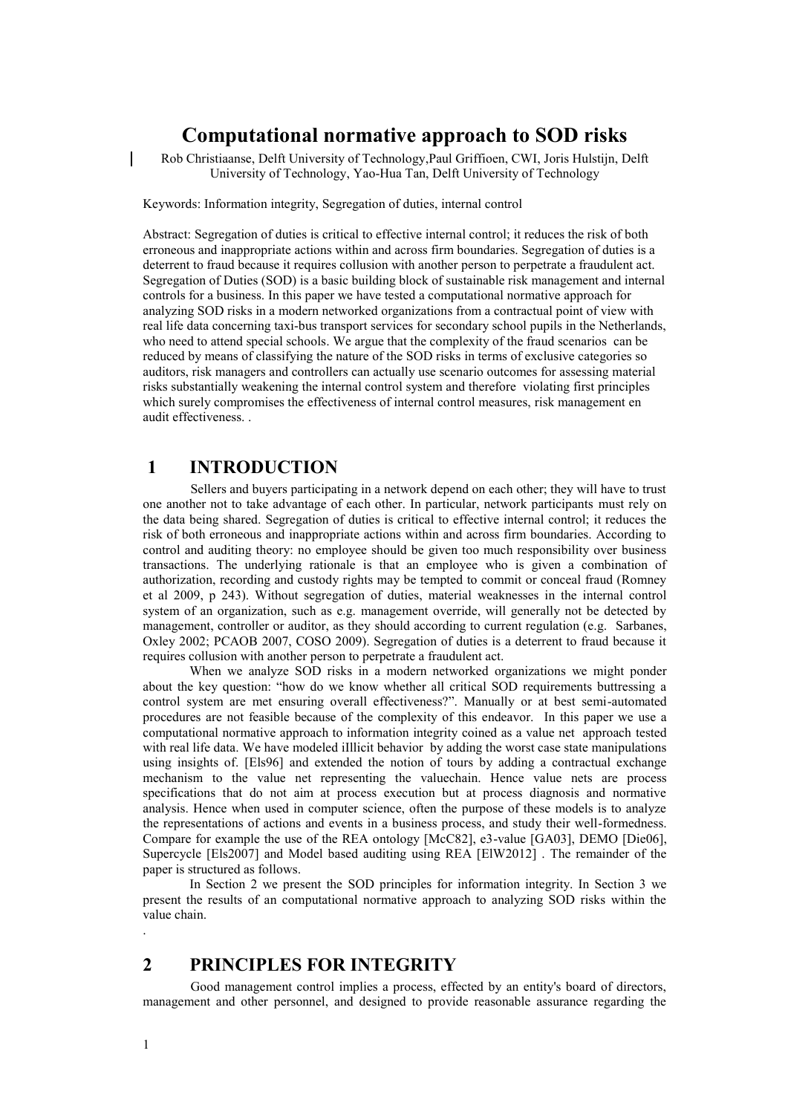# **Computational normative approach to SOD risks**

Rob Christiaanse, Delft University of Technology,Paul Griffioen, CWI, Joris Hulstijn, Delft University of Technology, Yao-Hua Tan, Delft University of Technology

Keywords: Information integrity, Segregation of duties, internal control

Abstract: Segregation of duties is critical to effective internal control; it reduces the risk of both erroneous and inappropriate actions within and across firm boundaries. Segregation of duties is a deterrent to fraud because it requires collusion with another person to perpetrate a fraudulent act. Segregation of Duties (SOD) is a basic building block of sustainable risk management and internal controls for a business. In this paper we have tested a computational normative approach for analyzing SOD risks in a modern networked organizations from a contractual point of view with real life data concerning taxi-bus transport services for secondary school pupils in the Netherlands, who need to attend special schools. We argue that the complexity of the fraud scenarios can be reduced by means of classifying the nature of the SOD risks in terms of exclusive categories so auditors, risk managers and controllers can actually use scenario outcomes for assessing material risks substantially weakening the internal control system and therefore violating first principles which surely compromises the effectiveness of internal control measures, risk management en audit effectiveness. .

### **1 INTRODUCTION**

Sellers and buyers participating in a network depend on each other; they will have to trust one another not to take advantage of each other. In particular, network participants must rely on the data being shared. Segregation of duties is critical to effective internal control; it reduces the risk of both erroneous and inappropriate actions within and across firm boundaries. According to control and auditing theory: no employee should be given too much responsibility over business transactions. The underlying rationale is that an employee who is given a combination of authorization, recording and custody rights may be tempted to commit or conceal fraud (Romney et al 2009, p 243). Without segregation of duties, material weaknesses in the internal control system of an organization, such as e.g. management override, will generally not be detected by management, controller or auditor, as they should according to current regulation (e.g. Sarbanes, Oxley 2002; PCAOB 2007, COSO 2009). Segregation of duties is a deterrent to fraud because it requires collusion with another person to perpetrate a fraudulent act.

When we analyze SOD risks in a modern networked organizations we might ponder about the key question: "how do we know whether all critical SOD requirements buttressing a control system are met ensuring overall effectiveness?". Manually or at best semi-automated procedures are not feasible because of the complexity of this endeavor. In this paper we use a computational normative approach to information integrity coined as a value net approach tested with real life data. We have modeled iIllicit behavior by adding the worst case state manipulations using insights of. [Els96] and extended the notion of tours by adding a contractual exchange mechanism to the value net representing the valuechain. Hence value nets are process specifications that do not aim at process execution but at process diagnosis and normative analysis. Hence when used in computer science, often the purpose of these models is to analyze the representations of actions and events in a business process, and study their well-formedness. Compare for example the use of the REA ontology [McC82], e3-value [GA03], DEMO [Die06], Supercycle [Els2007] and Model based auditing using REA [ElW2012] . The remainder of the paper is structured as follows.

In Section 2 we present the SOD principles for information integrity. In Section 3 we present the results of an computational normative approach to analyzing SOD risks within the value chain.

# **2 PRINCIPLES FOR INTEGRITY**

Good management control implies a process, effected by an entity's board of directors, management and other personnel, and designed to provide reasonable assurance regarding the

.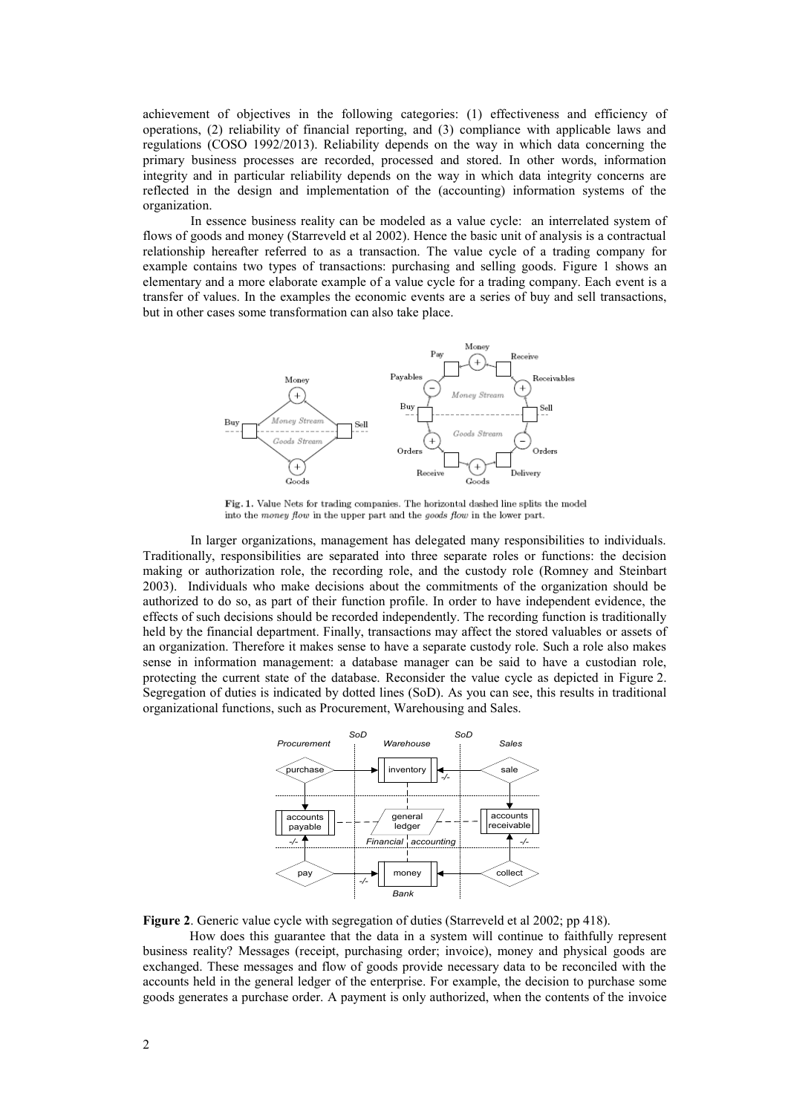achievement of objectives in the following categories: (1) effectiveness and efficiency of operations, (2) reliability of financial reporting, and (3) compliance with applicable laws and regulations (COSO 1992/2013). Reliability depends on the way in which data concerning the primary business processes are recorded, processed and stored. In other words, information integrity and in particular reliability depends on the way in which data integrity concerns are reflected in the design and implementation of the (accounting) information systems of the organization.

In essence business reality can be modeled as a value cycle: an interrelated system of flows of goods and money (Starreveld et al 2002). Hence the basic unit of analysis is a contractual relationship hereafter referred to as a transaction. The value cycle of a trading company for example contains two types of transactions: purchasing and selling goods. Figure 1 shows an elementary and a more elaborate example of a value cycle for a trading company. Each event is a transfer of values. In the examples the economic events are a series of buy and sell transactions, but in other cases some transformation can also take place.



Fig. 1. Value Nets for trading companies. The horizontal dashed line splits the model into the money flow in the upper part and the goods flow in the lower part.

In larger organizations, management has delegated many responsibilities to individuals. Traditionally, responsibilities are separated into three separate roles or functions: the decision making or authorization role, the recording role, and the custody role (Romney and Steinbart 2003). Individuals who make decisions about the commitments of the organization should be authorized to do so, as part of their function profile. In order to have independent evidence, the effects of such decisions should be recorded independently. The recording function is traditionally held by the financial department. Finally, transactions may affect the stored valuables or assets of an organization. Therefore it makes sense to have a separate custody role. Such a role also makes sense in information management: a database manager can be said to have a custodian role, protecting the current state of the database. Reconsider the value cycle as depicted in Figure 2. Segregation of duties is indicated by dotted lines (SoD). As you can see, this results in traditional organizational functions, such as Procurement, Warehousing and Sales.



**Figure 2**. Generic value cycle with segregation of duties (Starreveld et al 2002; pp 418).

How does this guarantee that the data in a system will continue to faithfully represent business reality? Messages (receipt, purchasing order; invoice), money and physical goods are exchanged. These messages and flow of goods provide necessary data to be reconciled with the accounts held in the general ledger of the enterprise. For example, the decision to purchase some goods generates a purchase order. A payment is only authorized, when the contents of the invoice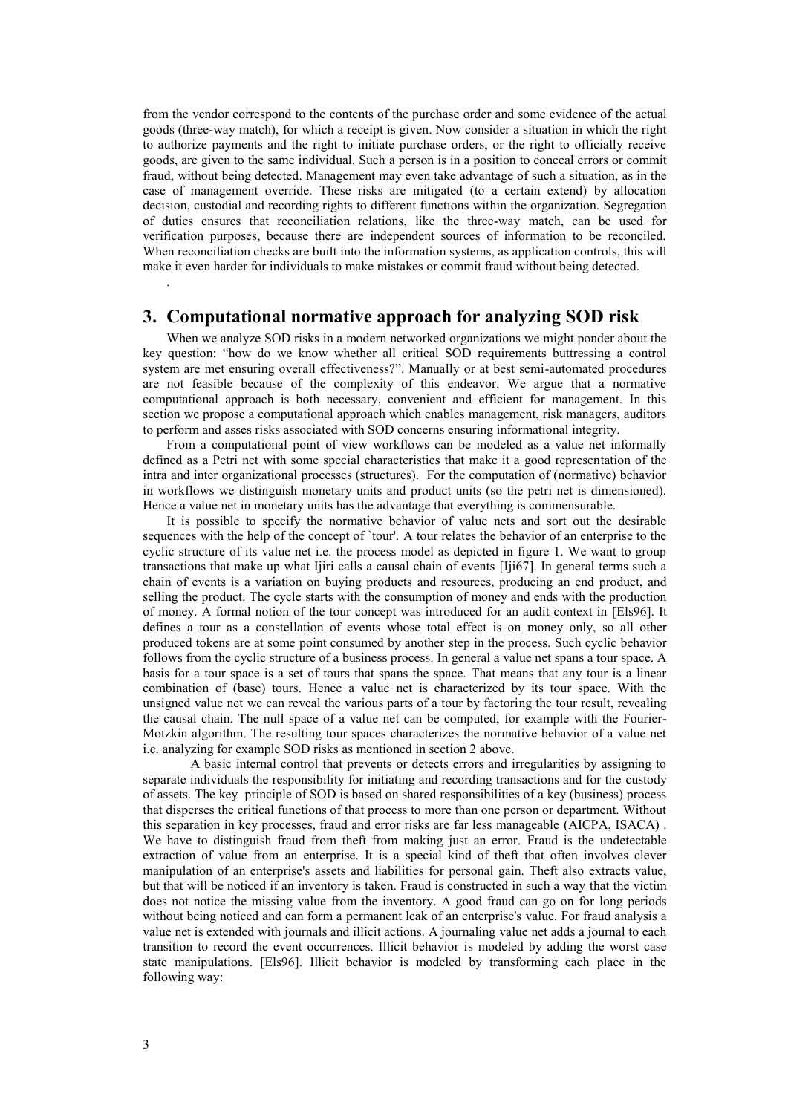from the vendor correspond to the contents of the purchase order and some evidence of the actual goods (three-way match), for which a receipt is given. Now consider a situation in which the right to authorize payments and the right to initiate purchase orders, or the right to officially receive goods, are given to the same individual. Such a person is in a position to conceal errors or commit fraud, without being detected. Management may even take advantage of such a situation, as in the case of management override. These risks are mitigated (to a certain extend) by allocation decision, custodial and recording rights to different functions within the organization. Segregation of duties ensures that reconciliation relations, like the three-way match, can be used for verification purposes, because there are independent sources of information to be reconciled. When reconciliation checks are built into the information systems, as application controls, this will make it even harder for individuals to make mistakes or commit fraud without being detected.

### **3. Computational normative approach for analyzing SOD risk**

When we analyze SOD risks in a modern networked organizations we might ponder about the key question: "how do we know whether all critical SOD requirements buttressing a control system are met ensuring overall effectiveness?". Manually or at best semi-automated procedures are not feasible because of the complexity of this endeavor. We argue that a normative computational approach is both necessary, convenient and efficient for management. In this section we propose a computational approach which enables management, risk managers, auditors to perform and asses risks associated with SOD concerns ensuring informational integrity.

From a computational point of view workflows can be modeled as a value net informally defined as a Petri net with some special characteristics that make it a good representation of the intra and inter organizational processes (structures). For the computation of (normative) behavior in workflows we distinguish monetary units and product units (so the petri net is dimensioned). Hence a value net in monetary units has the advantage that everything is commensurable.

It is possible to specify the normative behavior of value nets and sort out the desirable sequences with the help of the concept of `tour'. A tour relates the behavior of an enterprise to the cyclic structure of its value net i.e. the process model as depicted in figure 1. We want to group transactions that make up what Ijiri calls a causal chain of events [Iji67]. In general terms such a chain of events is a variation on buying products and resources, producing an end product, and selling the product. The cycle starts with the consumption of money and ends with the production of money. A formal notion of the tour concept was introduced for an audit context in [Els96]. It defines a tour as a constellation of events whose total effect is on money only, so all other produced tokens are at some point consumed by another step in the process. Such cyclic behavior follows from the cyclic structure of a business process. In general a value net spans a tour space. A basis for a tour space is a set of tours that spans the space. That means that any tour is a linear combination of (base) tours. Hence a value net is characterized by its tour space. With the unsigned value net we can reveal the various parts of a tour by factoring the tour result, revealing the causal chain. The null space of a value net can be computed, for example with the Fourier-Motzkin algorithm. The resulting tour spaces characterizes the normative behavior of a value net i.e. analyzing for example SOD risks as mentioned in section 2 above.

A basic internal control that prevents or detects errors and irregularities by assigning to separate individuals the responsibility for initiating and recording transactions and for the custody of assets. The key principle of SOD is based on shared responsibilities of a key (business) process that disperses the critical functions of that process to more than one person or department. Without this separation in key processes, fraud and error risks are far less manageable (AICPA, ISACA) . We have to distinguish fraud from theft from making just an error. Fraud is the undetectable extraction of value from an enterprise. It is a special kind of theft that often involves clever manipulation of an enterprise's assets and liabilities for personal gain. Theft also extracts value, but that will be noticed if an inventory is taken. Fraud is constructed in such a way that the victim does not notice the missing value from the inventory. A good fraud can go on for long periods without being noticed and can form a permanent leak of an enterprise's value. For fraud analysis a value net is extended with journals and illicit actions. A journaling value net adds a journal to each transition to record the event occurrences. Illicit behavior is modeled by adding the worst case state manipulations. [Els96]. Illicit behavior is modeled by transforming each place in the following way:

.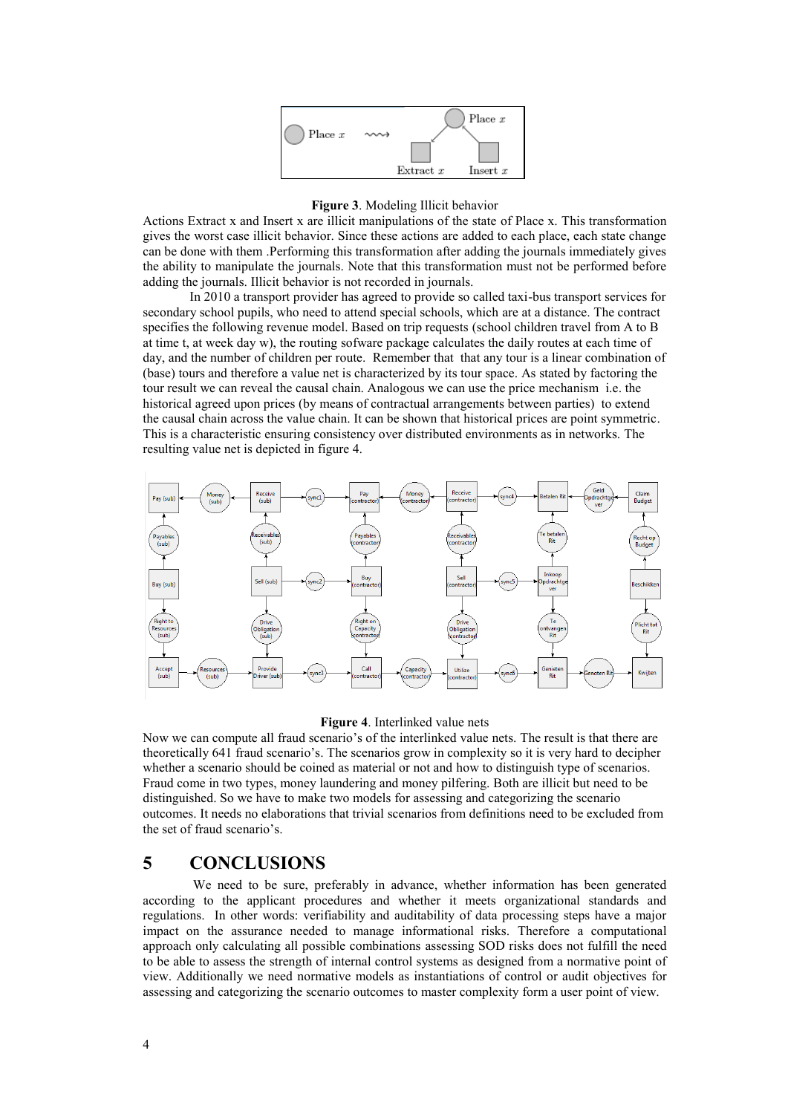

#### **Figure 3**. Modeling Illicit behavior

Actions Extract x and Insert x are illicit manipulations of the state of Place x. This transformation gives the worst case illicit behavior. Since these actions are added to each place, each state change can be done with them .Performing this transformation after adding the journals immediately gives the ability to manipulate the journals. Note that this transformation must not be performed before adding the journals. Illicit behavior is not recorded in journals.

In 2010 a transport provider has agreed to provide so called taxi-bus transport services for secondary school pupils, who need to attend special schools, which are at a distance. The contract specifies the following revenue model. Based on trip requests (school children travel from A to B at time t, at week day w), the routing sofware package calculates the daily routes at each time of day, and the number of children per route. Remember that that any tour is a linear combination of (base) tours and therefore a value net is characterized by its tour space. As stated by factoring the tour result we can reveal the causal chain. Analogous we can use the price mechanism i.e. the historical agreed upon prices (by means of contractual arrangements between parties) to extend the causal chain across the value chain. It can be shown that historical prices are point symmetric. This is a characteristic ensuring consistency over distributed environments as in networks. The resulting value net is depicted in figure 4.



#### **Figure 4**. Interlinked value nets

Now we can compute all fraud scenario's of the interlinked value nets. The result is that there are theoretically 641 fraud scenario's. The scenarios grow in complexity so it is very hard to decipher whether a scenario should be coined as material or not and how to distinguish type of scenarios. Fraud come in two types, money laundering and money pilfering. Both are illicit but need to be distinguished. So we have to make two models for assessing and categorizing the scenario outcomes. It needs no elaborations that trivial scenarios from definitions need to be excluded from the set of fraud scenario's.

# **5 CONCLUSIONS**

We need to be sure, preferably in advance, whether information has been generated according to the applicant procedures and whether it meets organizational standards and regulations. In other words: verifiability and auditability of data processing steps have a major impact on the assurance needed to manage informational risks. Therefore a computational approach only calculating all possible combinations assessing SOD risks does not fulfill the need to be able to assess the strength of internal control systems as designed from a normative point of view. Additionally we need normative models as instantiations of control or audit objectives for assessing and categorizing the scenario outcomes to master complexity form a user point of view.